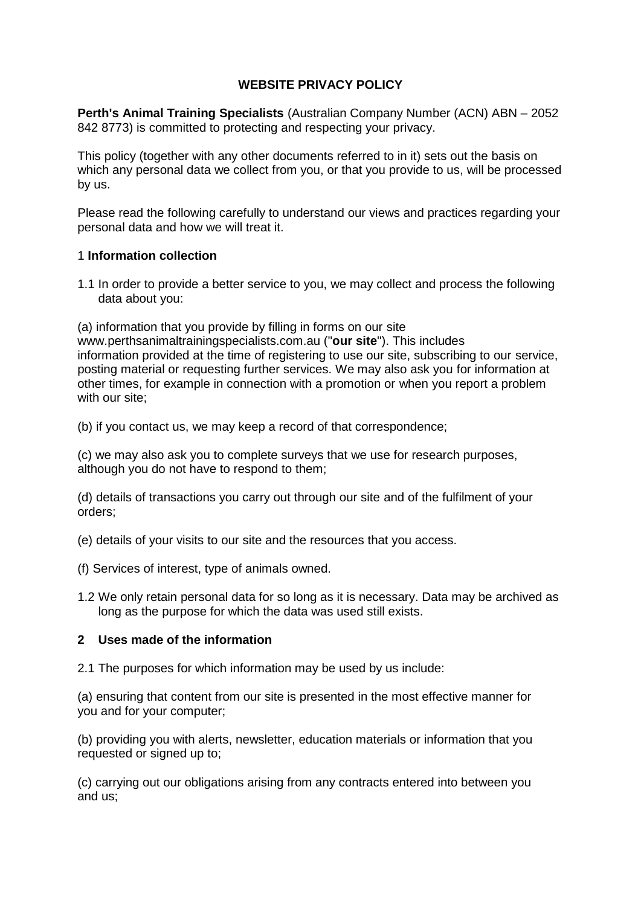### **WEBSITE PRIVACY POLICY**

**Perth's Animal Training Specialists** (Australian Company Number (ACN) ABN – 2052 842 8773) is committed to protecting and respecting your privacy.

This policy (together with any other documents referred to in it) sets out the basis on which any personal data we collect from you, or that you provide to us, will be processed by us.

Please read the following carefully to understand our views and practices regarding your personal data and how we will treat it.

### 1 **Information collection**

1.1 In order to provide a better service to you, we may collect and process the following data about you:

(a) information that you provide by filling in forms on our site www.perthsanimaltrainingspecialists.com.au ("**our site**"). This includes information provided at the time of registering to use our site, subscribing to our service, posting material or requesting further services. We may also ask you for information at other times, for example in connection with a promotion or when you report a problem with our site;

(b) if you contact us, we may keep a record of that correspondence;

(c) we may also ask you to complete surveys that we use for research purposes, although you do not have to respond to them;

(d) details of transactions you carry out through our site and of the fulfilment of your orders;

(e) details of your visits to our site and the resources that you access.

- (f) Services of interest, type of animals owned.
- 1.2 We only retain personal data for so long as it is necessary. Data may be archived as long as the purpose for which the data was used still exists.

### **2 Uses made of the information**

2.1 The purposes for which information may be used by us include:

(a) ensuring that content from our site is presented in the most effective manner for you and for your computer;

(b) providing you with alerts, newsletter, education materials or information that you requested or signed up to;

(c) carrying out our obligations arising from any contracts entered into between you and us;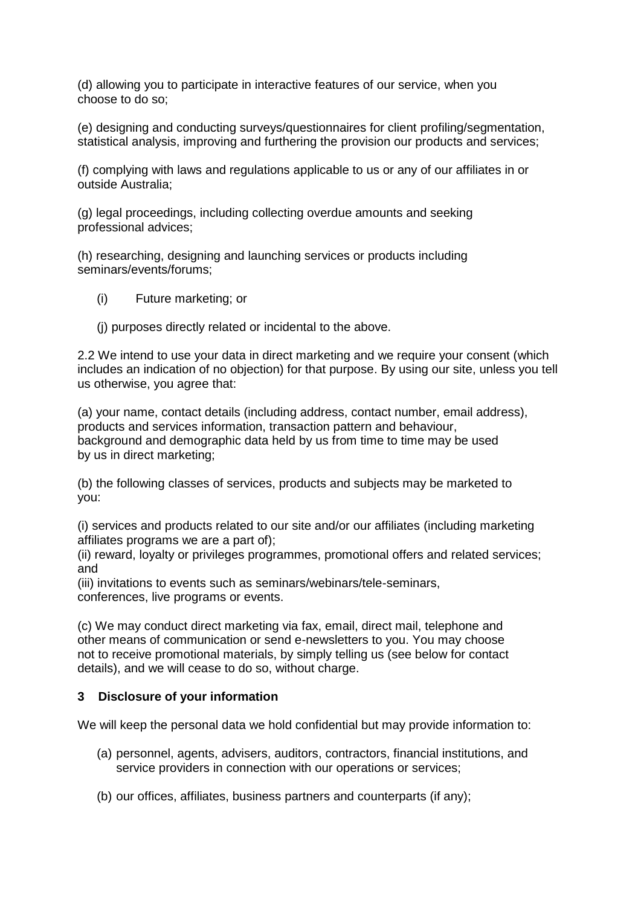(d) allowing you to participate in interactive features of our service, when you choose to do so;

(e) designing and conducting surveys/questionnaires for client profiling/segmentation, statistical analysis, improving and furthering the provision our products and services;

(f) complying with laws and regulations applicable to us or any of our affiliates in or outside Australia;

(g) legal proceedings, including collecting overdue amounts and seeking professional advices;

(h) researching, designing and launching services or products including seminars/events/forums;

- (i) Future marketing; or
- (j) purposes directly related or incidental to the above.

2.2 We intend to use your data in direct marketing and we require your consent (which includes an indication of no objection) for that purpose. By using our site, unless you tell us otherwise, you agree that:

(a) your name, contact details (including address, contact number, email address), products and services information, transaction pattern and behaviour, background and demographic data held by us from time to time may be used by us in direct marketing;

(b) the following classes of services, products and subjects may be marketed to you:

(i) services and products related to our site and/or our affiliates (including marketing affiliates programs we are a part of);

(ii) reward, loyalty or privileges programmes, promotional offers and related services; and

(iii) invitations to events such as seminars/webinars/tele-seminars,

conferences, live programs or events.

(c) We may conduct direct marketing via fax, email, direct mail, telephone and other means of communication or send e-newsletters to you. You may choose not to receive promotional materials, by simply telling us (see below for contact details), and we will cease to do so, without charge.

# **3 Disclosure of your information**

We will keep the personal data we hold confidential but may provide information to:

- (a) personnel, agents, advisers, auditors, contractors, financial institutions, and service providers in connection with our operations or services;
- (b) our offices, affiliates, business partners and counterparts (if any);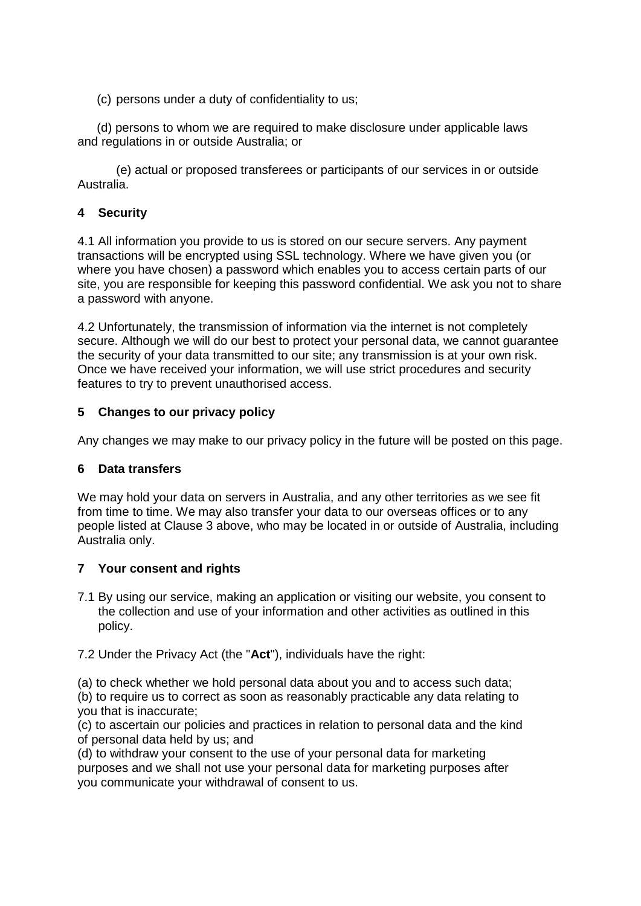(c) persons under a duty of confidentiality to us;

(d) persons to whom we are required to make disclosure under applicable laws and regulations in or outside Australia; or

(e) actual or proposed transferees or participants of our services in or outside Australia.

# **4 Security**

4.1 All information you provide to us is stored on our secure servers. Any payment transactions will be encrypted using SSL technology. Where we have given you (or where you have chosen) a password which enables you to access certain parts of our site, you are responsible for keeping this password confidential. We ask you not to share a password with anyone.

4.2 Unfortunately, the transmission of information via the internet is not completely secure. Although we will do our best to protect your personal data, we cannot guarantee the security of your data transmitted to our site; any transmission is at your own risk. Once we have received your information, we will use strict procedures and security features to try to prevent unauthorised access.

### **5 Changes to our privacy policy**

Any changes we may make to our privacy policy in the future will be posted on this page.

### **6 Data transfers**

We may hold your data on servers in Australia, and any other territories as we see fit from time to time. We may also transfer your data to our overseas offices or to any people listed at Clause 3 above, who may be located in or outside of Australia, including Australia only.

### **7 Your consent and rights**

- 7.1 By using our service, making an application or visiting our website, you consent to the collection and use of your information and other activities as outlined in this policy.
- 7.2 Under the Privacy Act (the "**Act**"), individuals have the right:

(a) to check whether we hold personal data about you and to access such data;

(b) to require us to correct as soon as reasonably practicable any data relating to you that is inaccurate;

(c) to ascertain our policies and practices in relation to personal data and the kind of personal data held by us; and

(d) to withdraw your consent to the use of your personal data for marketing purposes and we shall not use your personal data for marketing purposes after you communicate your withdrawal of consent to us.